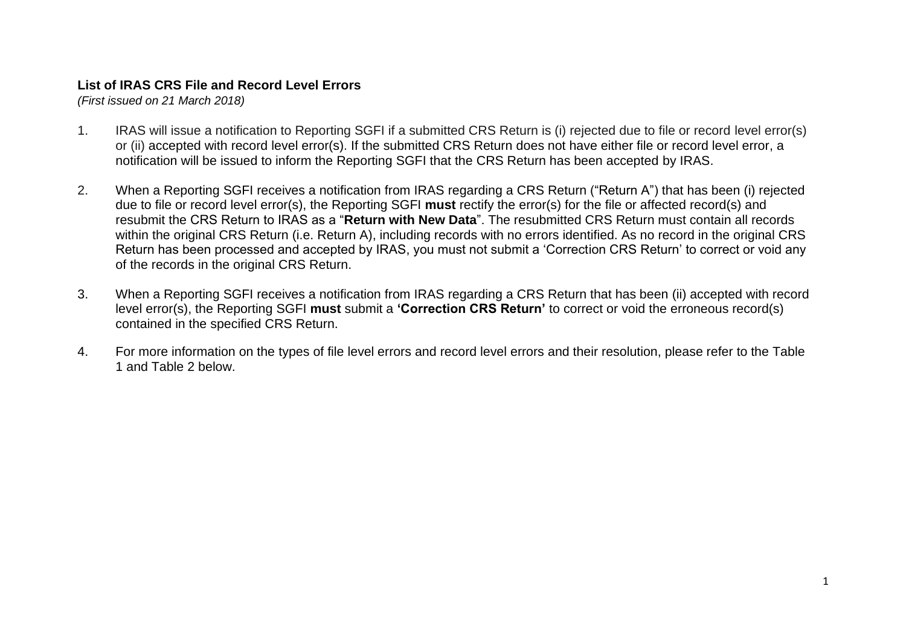## **List of IRAS CRS File and Record Level Errors**

*(First issued on 21 March 2018)*

- 1. IRAS will issue a notification to Reporting SGFI if a submitted CRS Return is (i) rejected due to file or record level error(s) or (ii) accepted with record level error(s). If the submitted CRS Return does not have either file or record level error, a notification will be issued to inform the Reporting SGFI that the CRS Return has been accepted by IRAS.
- 2. When a Reporting SGFI receives a notification from IRAS regarding a CRS Return ("Return A") that has been (i) rejected due to file or record level error(s), the Reporting SGFI **must** rectify the error(s) for the file or affected record(s) and resubmit the CRS Return to IRAS as a "**Return with New Data**". The resubmitted CRS Return must contain all records within the original CRS Return (i.e. Return A), including records with no errors identified. As no record in the original CRS Return has been processed and accepted by IRAS, you must not submit a 'Correction CRS Return' to correct or void any of the records in the original CRS Return.
- 3. When a Reporting SGFI receives a notification from IRAS regarding a CRS Return that has been (ii) accepted with record level error(s), the Reporting SGFI **must** submit a **'Correction CRS Return'** to correct or void the erroneous record(s) contained in the specified CRS Return.
- 4. For more information on the types of file level errors and record level errors and their resolution, please refer to the Table 1 and Table 2 below.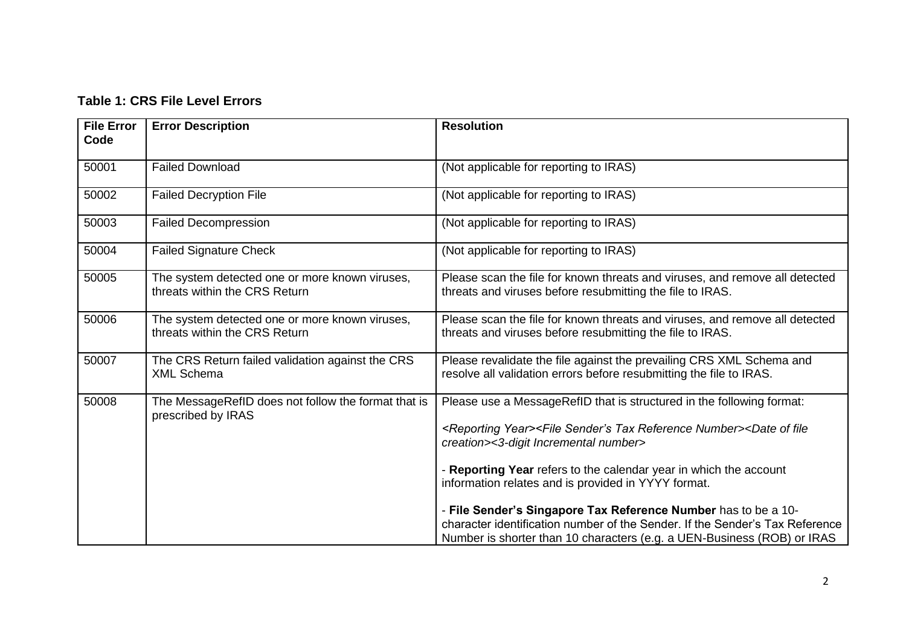## **Table 1: CRS File Level Errors**

| <b>File Error</b><br>Code | <b>Error Description</b>                                                        | <b>Resolution</b>                                                                                                                                                                                                                                                                                                 |
|---------------------------|---------------------------------------------------------------------------------|-------------------------------------------------------------------------------------------------------------------------------------------------------------------------------------------------------------------------------------------------------------------------------------------------------------------|
| 50001                     | <b>Failed Download</b>                                                          | (Not applicable for reporting to IRAS)                                                                                                                                                                                                                                                                            |
| 50002                     | <b>Failed Decryption File</b>                                                   | (Not applicable for reporting to IRAS)                                                                                                                                                                                                                                                                            |
| 50003                     | <b>Failed Decompression</b>                                                     | (Not applicable for reporting to IRAS)                                                                                                                                                                                                                                                                            |
| 50004                     | <b>Failed Signature Check</b>                                                   | (Not applicable for reporting to IRAS)                                                                                                                                                                                                                                                                            |
| 50005                     | The system detected one or more known viruses,<br>threats within the CRS Return | Please scan the file for known threats and viruses, and remove all detected<br>threats and viruses before resubmitting the file to IRAS.                                                                                                                                                                          |
| 50006                     | The system detected one or more known viruses,<br>threats within the CRS Return | Please scan the file for known threats and viruses, and remove all detected<br>threats and viruses before resubmitting the file to IRAS.                                                                                                                                                                          |
| 50007                     | The CRS Return failed validation against the CRS<br><b>XML Schema</b>           | Please revalidate the file against the prevailing CRS XML Schema and<br>resolve all validation errors before resubmitting the file to IRAS.                                                                                                                                                                       |
| 50008                     | The MessageRefID does not follow the format that is<br>prescribed by IRAS       | Please use a MessageRefID that is structured in the following format:<br><reporting year=""><file number="" reference="" sender's="" tax=""><date file<br="" of="">creation&gt;&lt;3-digit Incremental number&gt;<br/>- Reporting Year refers to the calendar year in which the account</date></file></reporting> |
|                           |                                                                                 | information relates and is provided in YYYY format.<br>- File Sender's Singapore Tax Reference Number has to be a 10-<br>character identification number of the Sender. If the Sender's Tax Reference<br>Number is shorter than 10 characters (e.g. a UEN-Business (ROB) or IRAS                                  |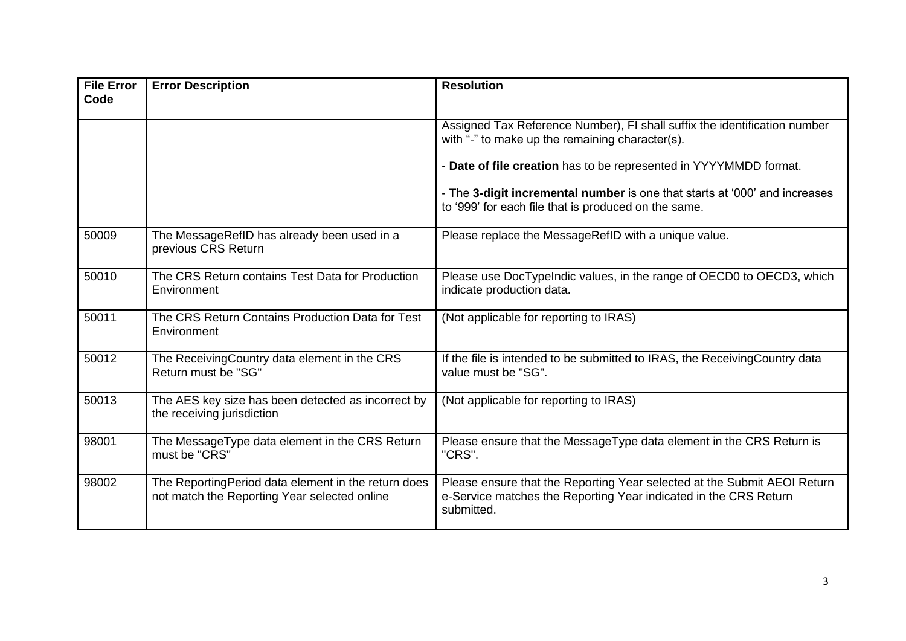| <b>File Error</b><br>Code | <b>Error Description</b>                                                                            | <b>Resolution</b>                                                                                                                                          |
|---------------------------|-----------------------------------------------------------------------------------------------------|------------------------------------------------------------------------------------------------------------------------------------------------------------|
|                           |                                                                                                     | Assigned Tax Reference Number), FI shall suffix the identification number<br>with "-" to make up the remaining character(s).                               |
|                           |                                                                                                     | - Date of file creation has to be represented in YYYYMMDD format.                                                                                          |
|                           |                                                                                                     | - The 3-digit incremental number is one that starts at '000' and increases<br>to '999' for each file that is produced on the same.                         |
| 50009                     | The MessageRefID has already been used in a<br>previous CRS Return                                  | Please replace the MessageRefID with a unique value.                                                                                                       |
| 50010                     | The CRS Return contains Test Data for Production<br>Environment                                     | Please use DocTypeIndic values, in the range of OECD0 to OECD3, which<br>indicate production data.                                                         |
| 50011                     | The CRS Return Contains Production Data for Test<br>Environment                                     | (Not applicable for reporting to IRAS)                                                                                                                     |
| 50012                     | The ReceivingCountry data element in the CRS<br>Return must be "SG"                                 | If the file is intended to be submitted to IRAS, the Receiving Country data<br>value must be "SG".                                                         |
| 50013                     | The AES key size has been detected as incorrect by<br>the receiving jurisdiction                    | (Not applicable for reporting to IRAS)                                                                                                                     |
| 98001                     | The MessageType data element in the CRS Return<br>must be "CRS"                                     | Please ensure that the MessageType data element in the CRS Return is<br>"CRS".                                                                             |
| 98002                     | The ReportingPeriod data element in the return does<br>not match the Reporting Year selected online | Please ensure that the Reporting Year selected at the Submit AEOI Return<br>e-Service matches the Reporting Year indicated in the CRS Return<br>submitted. |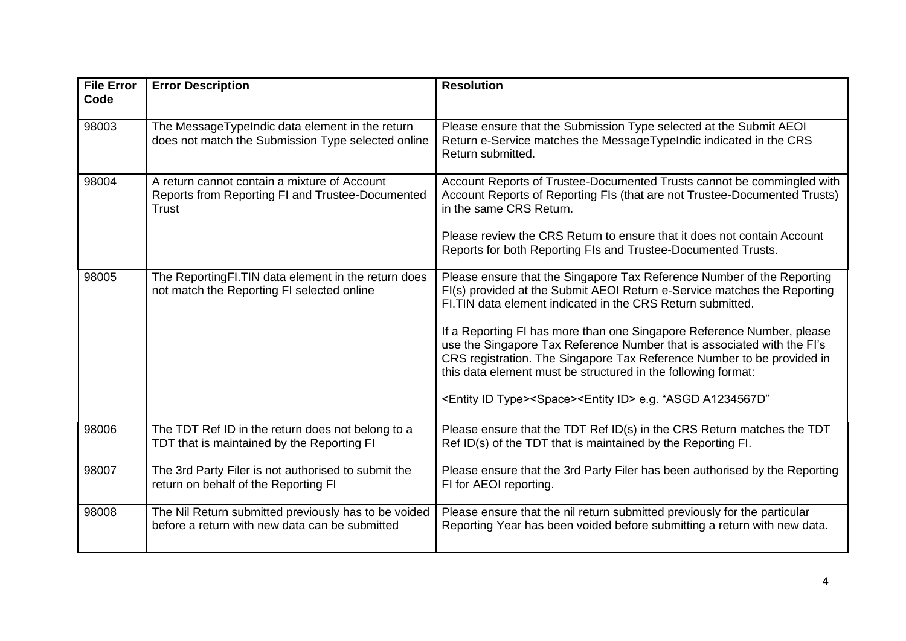| <b>File Error</b><br>Code | <b>Error Description</b>                                                                                  | <b>Resolution</b>                                                                                                                                                                                                                                                                            |
|---------------------------|-----------------------------------------------------------------------------------------------------------|----------------------------------------------------------------------------------------------------------------------------------------------------------------------------------------------------------------------------------------------------------------------------------------------|
| 98003                     | The MessageTypeIndic data element in the return<br>does not match the Submission Type selected online     | Please ensure that the Submission Type selected at the Submit AEOI<br>Return e-Service matches the MessageTypeIndic indicated in the CRS<br>Return submitted.                                                                                                                                |
| 98004                     | A return cannot contain a mixture of Account<br>Reports from Reporting FI and Trustee-Documented<br>Trust | Account Reports of Trustee-Documented Trusts cannot be commingled with<br>Account Reports of Reporting FIs (that are not Trustee-Documented Trusts)<br>in the same CRS Return.                                                                                                               |
|                           |                                                                                                           | Please review the CRS Return to ensure that it does not contain Account<br>Reports for both Reporting FIs and Trustee-Documented Trusts.                                                                                                                                                     |
| 98005                     | The ReportingFI.TIN data element in the return does<br>not match the Reporting FI selected online         | Please ensure that the Singapore Tax Reference Number of the Reporting<br>FI(s) provided at the Submit AEOI Return e-Service matches the Reporting<br>FI. TIN data element indicated in the CRS Return submitted.                                                                            |
|                           |                                                                                                           | If a Reporting FI has more than one Singapore Reference Number, please<br>use the Singapore Tax Reference Number that is associated with the FI's<br>CRS registration. The Singapore Tax Reference Number to be provided in<br>this data element must be structured in the following format: |
|                           |                                                                                                           | <entity id="" type=""><space><entity id=""> e.g. "ASGD A1234567D"</entity></space></entity>                                                                                                                                                                                                  |
| 98006                     | The TDT Ref ID in the return does not belong to a<br>TDT that is maintained by the Reporting FI           | Please ensure that the TDT Ref ID(s) in the CRS Return matches the TDT<br>Ref ID(s) of the TDT that is maintained by the Reporting FI.                                                                                                                                                       |
| 98007                     | The 3rd Party Filer is not authorised to submit the<br>return on behalf of the Reporting FI               | Please ensure that the 3rd Party Filer has been authorised by the Reporting<br>FI for AEOI reporting.                                                                                                                                                                                        |
| 98008                     | The Nil Return submitted previously has to be voided<br>before a return with new data can be submitted    | Please ensure that the nil return submitted previously for the particular<br>Reporting Year has been voided before submitting a return with new data.                                                                                                                                        |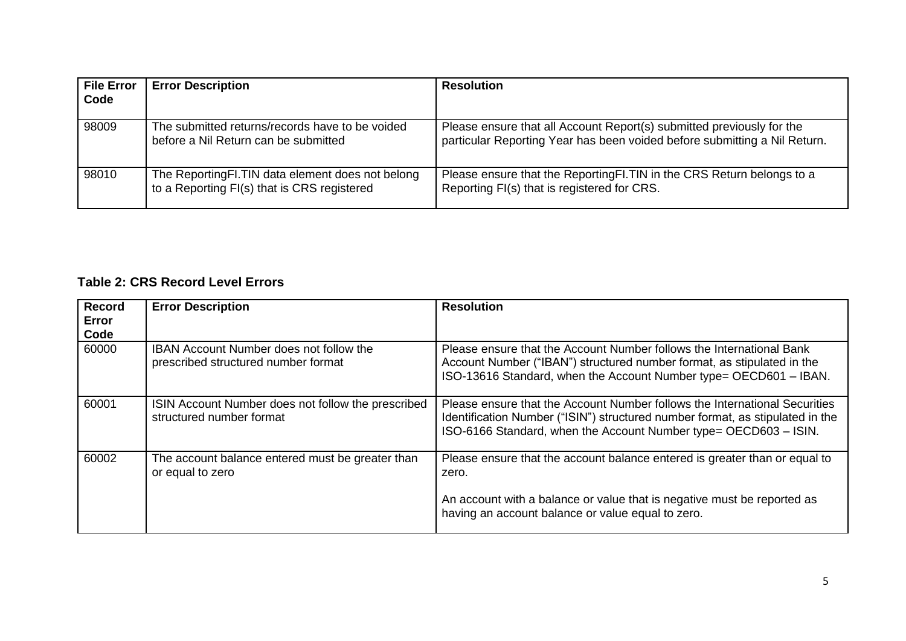| <b>File Error</b><br>Code | <b>Error Description</b>                                                                        | <b>Resolution</b>                                                                                                                                  |
|---------------------------|-------------------------------------------------------------------------------------------------|----------------------------------------------------------------------------------------------------------------------------------------------------|
|                           |                                                                                                 |                                                                                                                                                    |
| 98009                     | The submitted returns/records have to be voided<br>before a Nil Return can be submitted         | Please ensure that all Account Report(s) submitted previously for the<br>particular Reporting Year has been voided before submitting a Nil Return. |
| 98010                     | The ReportingFI.TIN data element does not belong<br>to a Reporting FI(s) that is CRS registered | Please ensure that the Reporting FI. TIN in the CRS Return belongs to a<br>Reporting FI(s) that is registered for CRS.                             |

## **Table 2: CRS Record Level Errors**

| <b>Record</b><br>Error<br>Code | <b>Error Description</b>                                                              | <b>Resolution</b>                                                                                                                                                                                                               |
|--------------------------------|---------------------------------------------------------------------------------------|---------------------------------------------------------------------------------------------------------------------------------------------------------------------------------------------------------------------------------|
| 60000                          | <b>IBAN Account Number does not follow the</b><br>prescribed structured number format | Please ensure that the Account Number follows the International Bank<br>Account Number ("IBAN") structured number format, as stipulated in the<br>ISO-13616 Standard, when the Account Number type= OECD601 - IBAN.             |
| 60001                          | ISIN Account Number does not follow the prescribed<br>structured number format        | Please ensure that the Account Number follows the International Securities<br>Identification Number ("ISIN") structured number format, as stipulated in the<br>ISO-6166 Standard, when the Account Number type= OECD603 - ISIN. |
| 60002                          | The account balance entered must be greater than<br>or equal to zero                  | Please ensure that the account balance entered is greater than or equal to<br>zero.                                                                                                                                             |
|                                |                                                                                       | An account with a balance or value that is negative must be reported as<br>having an account balance or value equal to zero.                                                                                                    |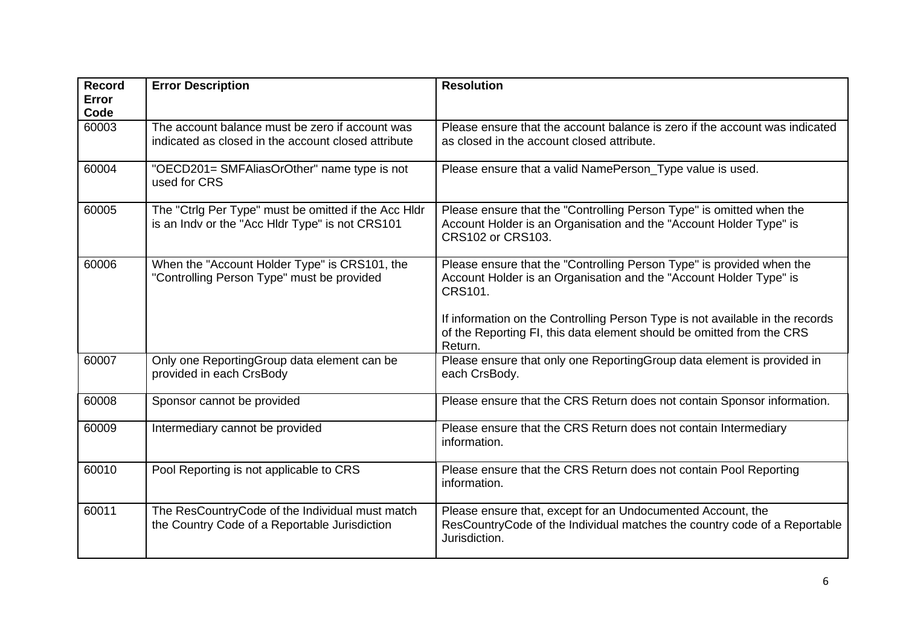| Record<br><b>Error</b><br>Code | <b>Error Description</b>                                                                                | <b>Resolution</b>                                                                                                                                                                                                                                                                                                           |
|--------------------------------|---------------------------------------------------------------------------------------------------------|-----------------------------------------------------------------------------------------------------------------------------------------------------------------------------------------------------------------------------------------------------------------------------------------------------------------------------|
| 60003                          | The account balance must be zero if account was<br>indicated as closed in the account closed attribute  | Please ensure that the account balance is zero if the account was indicated<br>as closed in the account closed attribute.                                                                                                                                                                                                   |
| 60004                          | "OECD201= SMFAliasOrOther" name type is not<br>used for CRS                                             | Please ensure that a valid NamePerson_Type value is used.                                                                                                                                                                                                                                                                   |
| 60005                          | The "Ctrlg Per Type" must be omitted if the Acc HIdr<br>is an Indv or the "Acc Hldr Type" is not CRS101 | Please ensure that the "Controlling Person Type" is omitted when the<br>Account Holder is an Organisation and the "Account Holder Type" is<br><b>CRS102 or CRS103.</b>                                                                                                                                                      |
| 60006                          | When the "Account Holder Type" is CRS101, the<br>"Controlling Person Type" must be provided             | Please ensure that the "Controlling Person Type" is provided when the<br>Account Holder is an Organisation and the "Account Holder Type" is<br>CRS101.<br>If information on the Controlling Person Type is not available in the records<br>of the Reporting FI, this data element should be omitted from the CRS<br>Return. |
| 60007                          | Only one ReportingGroup data element can be<br>provided in each CrsBody                                 | Please ensure that only one ReportingGroup data element is provided in<br>each CrsBody.                                                                                                                                                                                                                                     |
| 60008                          | Sponsor cannot be provided                                                                              | Please ensure that the CRS Return does not contain Sponsor information.                                                                                                                                                                                                                                                     |
| 60009                          | Intermediary cannot be provided                                                                         | Please ensure that the CRS Return does not contain Intermediary<br>information.                                                                                                                                                                                                                                             |
| 60010                          | Pool Reporting is not applicable to CRS                                                                 | Please ensure that the CRS Return does not contain Pool Reporting<br>information.                                                                                                                                                                                                                                           |
| 60011                          | The ResCountryCode of the Individual must match<br>the Country Code of a Reportable Jurisdiction        | Please ensure that, except for an Undocumented Account, the<br>ResCountryCode of the Individual matches the country code of a Reportable<br>Jurisdiction.                                                                                                                                                                   |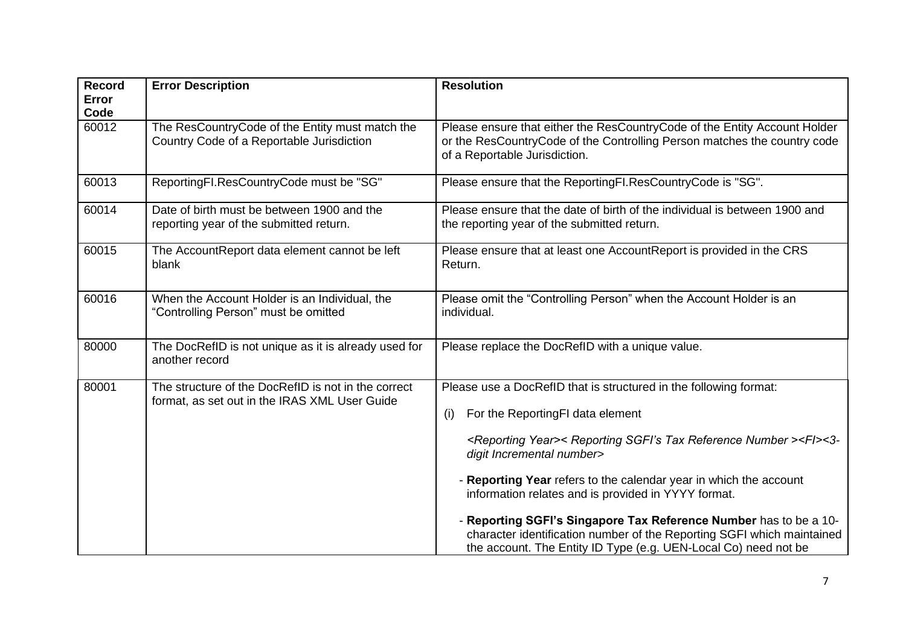| <b>Record</b><br><b>Error</b> | <b>Error Description</b>                                                                             | <b>Resolution</b>                                                                                                                                                                                                                                                                                                                                                                                                                                                                                                                                                                                 |
|-------------------------------|------------------------------------------------------------------------------------------------------|---------------------------------------------------------------------------------------------------------------------------------------------------------------------------------------------------------------------------------------------------------------------------------------------------------------------------------------------------------------------------------------------------------------------------------------------------------------------------------------------------------------------------------------------------------------------------------------------------|
| Code<br>60012                 | The ResCountryCode of the Entity must match the<br>Country Code of a Reportable Jurisdiction         | Please ensure that either the ResCountryCode of the Entity Account Holder<br>or the ResCountryCode of the Controlling Person matches the country code<br>of a Reportable Jurisdiction.                                                                                                                                                                                                                                                                                                                                                                                                            |
| 60013                         | ReportingFI.ResCountryCode must be "SG"                                                              | Please ensure that the ReportingFI.ResCountryCode is "SG".                                                                                                                                                                                                                                                                                                                                                                                                                                                                                                                                        |
| 60014                         | Date of birth must be between 1900 and the<br>reporting year of the submitted return.                | Please ensure that the date of birth of the individual is between 1900 and<br>the reporting year of the submitted return.                                                                                                                                                                                                                                                                                                                                                                                                                                                                         |
| 60015                         | The AccountReport data element cannot be left<br>blank                                               | Please ensure that at least one AccountReport is provided in the CRS<br>Return.                                                                                                                                                                                                                                                                                                                                                                                                                                                                                                                   |
| 60016                         | When the Account Holder is an Individual, the<br>"Controlling Person" must be omitted                | Please omit the "Controlling Person" when the Account Holder is an<br>individual.                                                                                                                                                                                                                                                                                                                                                                                                                                                                                                                 |
| 80000                         | The DocRefID is not unique as it is already used for<br>another record                               | Please replace the DocRefID with a unique value.                                                                                                                                                                                                                                                                                                                                                                                                                                                                                                                                                  |
| 80001                         | The structure of the DocRefID is not in the correct<br>format, as set out in the IRAS XML User Guide | Please use a DocRefID that is structured in the following format:<br>For the ReportingFI data element<br>(i)<br><reporting year="">&lt; Reporting SGFI's Tax Reference Number &gt;<fi>&lt;3-<br/>digit Incremental number&gt;<br/>- Reporting Year refers to the calendar year in which the account<br/>information relates and is provided in YYYY format.<br/>- Reporting SGFI's Singapore Tax Reference Number has to be a 10-<br/>character identification number of the Reporting SGFI which maintained<br/>the account. The Entity ID Type (e.g. UEN-Local Co) need not be</fi></reporting> |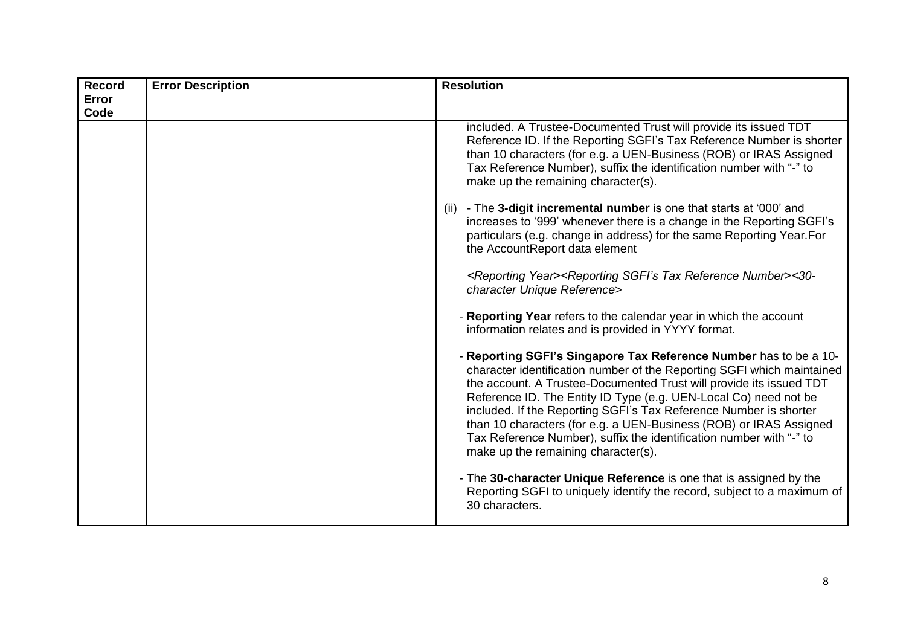| <b>Record</b> | <b>Error Description</b> | <b>Resolution</b>                                                                                                                                                                                                                                                                                                                                                                                                                                                                                                                               |
|---------------|--------------------------|-------------------------------------------------------------------------------------------------------------------------------------------------------------------------------------------------------------------------------------------------------------------------------------------------------------------------------------------------------------------------------------------------------------------------------------------------------------------------------------------------------------------------------------------------|
| Error         |                          |                                                                                                                                                                                                                                                                                                                                                                                                                                                                                                                                                 |
| Code          |                          |                                                                                                                                                                                                                                                                                                                                                                                                                                                                                                                                                 |
|               |                          | included. A Trustee-Documented Trust will provide its issued TDT<br>Reference ID. If the Reporting SGFI's Tax Reference Number is shorter<br>than 10 characters (for e.g. a UEN-Business (ROB) or IRAS Assigned<br>Tax Reference Number), suffix the identification number with "-" to<br>make up the remaining character(s).                                                                                                                                                                                                                   |
|               |                          | - The 3-digit incremental number is one that starts at '000' and<br>(ii)<br>increases to '999' whenever there is a change in the Reporting SGFI's<br>particulars (e.g. change in address) for the same Reporting Year. For<br>the AccountReport data element                                                                                                                                                                                                                                                                                    |
|               |                          | <reporting year=""><reporting number="" reference="" sgfi's="" tax="">&lt;30-<br/>character Unique Reference&gt;</reporting></reporting>                                                                                                                                                                                                                                                                                                                                                                                                        |
|               |                          | - Reporting Year refers to the calendar year in which the account<br>information relates and is provided in YYYY format.                                                                                                                                                                                                                                                                                                                                                                                                                        |
|               |                          | - Reporting SGFI's Singapore Tax Reference Number has to be a 10-<br>character identification number of the Reporting SGFI which maintained<br>the account. A Trustee-Documented Trust will provide its issued TDT<br>Reference ID. The Entity ID Type (e.g. UEN-Local Co) need not be<br>included. If the Reporting SGFI's Tax Reference Number is shorter<br>than 10 characters (for e.g. a UEN-Business (ROB) or IRAS Assigned<br>Tax Reference Number), suffix the identification number with "-" to<br>make up the remaining character(s). |
|               |                          | - The 30-character Unique Reference is one that is assigned by the<br>Reporting SGFI to uniquely identify the record, subject to a maximum of<br>30 characters.                                                                                                                                                                                                                                                                                                                                                                                 |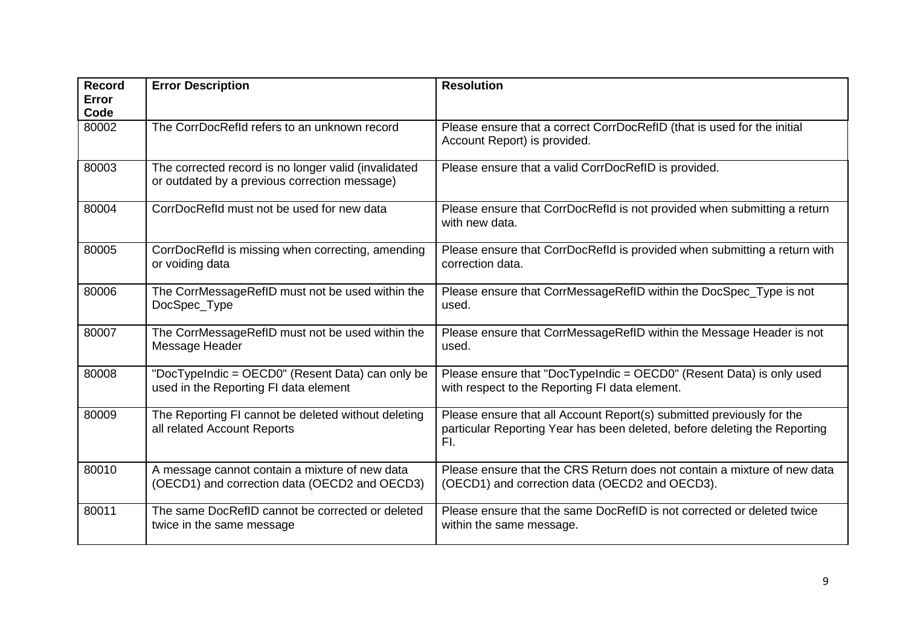| <b>Record</b><br><b>Error</b><br>Code | <b>Error Description</b>                                                                              | <b>Resolution</b>                                                                                                                                         |
|---------------------------------------|-------------------------------------------------------------------------------------------------------|-----------------------------------------------------------------------------------------------------------------------------------------------------------|
| 80002                                 | The CorrDocRefld refers to an unknown record                                                          | Please ensure that a correct CorrDocRefID (that is used for the initial<br>Account Report) is provided.                                                   |
| 80003                                 | The corrected record is no longer valid (invalidated<br>or outdated by a previous correction message) | Please ensure that a valid CorrDocRefID is provided.                                                                                                      |
| 80004                                 | CorrDocRefld must not be used for new data                                                            | Please ensure that CorrDocRefld is not provided when submitting a return<br>with new data.                                                                |
| 80005                                 | CorrDocRefld is missing when correcting, amending<br>or voiding data                                  | Please ensure that CorrDocRefld is provided when submitting a return with<br>correction data.                                                             |
| 80006                                 | The CorrMessageRefID must not be used within the<br>DocSpec_Type                                      | Please ensure that CorrMessageRefID within the DocSpec_Type is not<br>used.                                                                               |
| 80007                                 | The CorrMessageRefID must not be used within the<br>Message Header                                    | Please ensure that CorrMessageRefID within the Message Header is not<br>used.                                                                             |
| 80008                                 | "DocTypeIndic = OECD0" (Resent Data) can only be<br>used in the Reporting FI data element             | Please ensure that "DocTypeIndic = OECD0" (Resent Data) is only used<br>with respect to the Reporting FI data element.                                    |
| 80009                                 | The Reporting FI cannot be deleted without deleting<br>all related Account Reports                    | Please ensure that all Account Report(s) submitted previously for the<br>particular Reporting Year has been deleted, before deleting the Reporting<br>FI. |
| 80010                                 | A message cannot contain a mixture of new data<br>(OECD1) and correction data (OECD2 and OECD3)       | Please ensure that the CRS Return does not contain a mixture of new data<br>(OECD1) and correction data (OECD2 and OECD3).                                |
| 80011                                 | The same DocRefID cannot be corrected or deleted<br>twice in the same message                         | Please ensure that the same DocRefID is not corrected or deleted twice<br>within the same message.                                                        |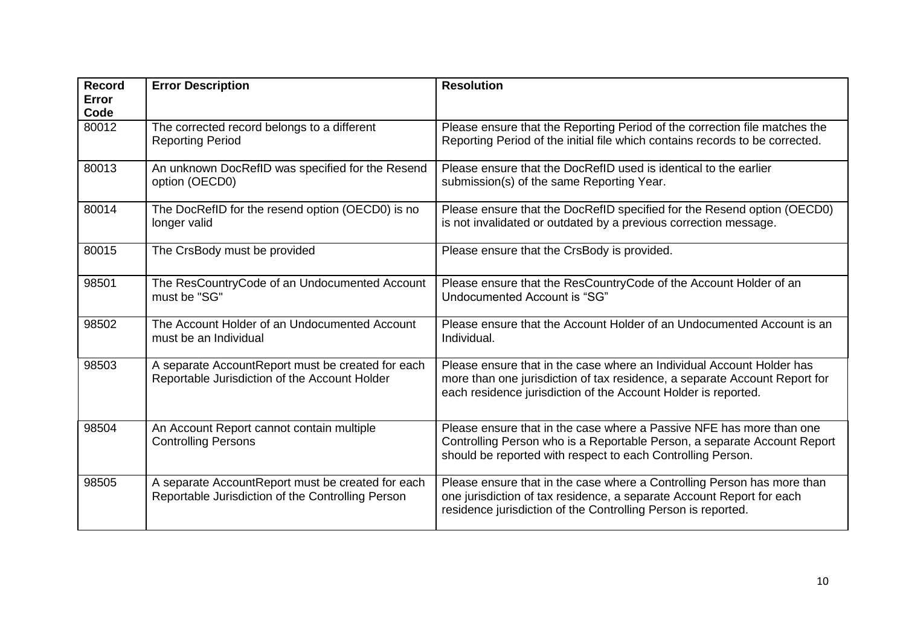| <b>Record</b><br><b>Error</b><br>Code | <b>Error Description</b>                                                                               | <b>Resolution</b>                                                                                                                                                                                                     |
|---------------------------------------|--------------------------------------------------------------------------------------------------------|-----------------------------------------------------------------------------------------------------------------------------------------------------------------------------------------------------------------------|
| 80012                                 | The corrected record belongs to a different<br><b>Reporting Period</b>                                 | Please ensure that the Reporting Period of the correction file matches the<br>Reporting Period of the initial file which contains records to be corrected.                                                            |
| 80013                                 | An unknown DocRefID was specified for the Resend<br>option (OECD0)                                     | Please ensure that the DocRefID used is identical to the earlier<br>submission(s) of the same Reporting Year.                                                                                                         |
| 80014                                 | The DocRefID for the resend option (OECD0) is no<br>longer valid                                       | Please ensure that the DocRefID specified for the Resend option (OECD0)<br>is not invalidated or outdated by a previous correction message.                                                                           |
| 80015                                 | The CrsBody must be provided                                                                           | Please ensure that the CrsBody is provided.                                                                                                                                                                           |
| 98501                                 | The ResCountryCode of an Undocumented Account<br>must be "SG"                                          | Please ensure that the ResCountryCode of the Account Holder of an<br>Undocumented Account is "SG"                                                                                                                     |
| 98502                                 | The Account Holder of an Undocumented Account<br>must be an Individual                                 | Please ensure that the Account Holder of an Undocumented Account is an<br>Individual.                                                                                                                                 |
| 98503                                 | A separate AccountReport must be created for each<br>Reportable Jurisdiction of the Account Holder     | Please ensure that in the case where an Individual Account Holder has<br>more than one jurisdiction of tax residence, a separate Account Report for<br>each residence jurisdiction of the Account Holder is reported. |
| 98504                                 | An Account Report cannot contain multiple<br><b>Controlling Persons</b>                                | Please ensure that in the case where a Passive NFE has more than one<br>Controlling Person who is a Reportable Person, a separate Account Report<br>should be reported with respect to each Controlling Person.       |
| 98505                                 | A separate AccountReport must be created for each<br>Reportable Jurisdiction of the Controlling Person | Please ensure that in the case where a Controlling Person has more than<br>one jurisdiction of tax residence, a separate Account Report for each<br>residence jurisdiction of the Controlling Person is reported.     |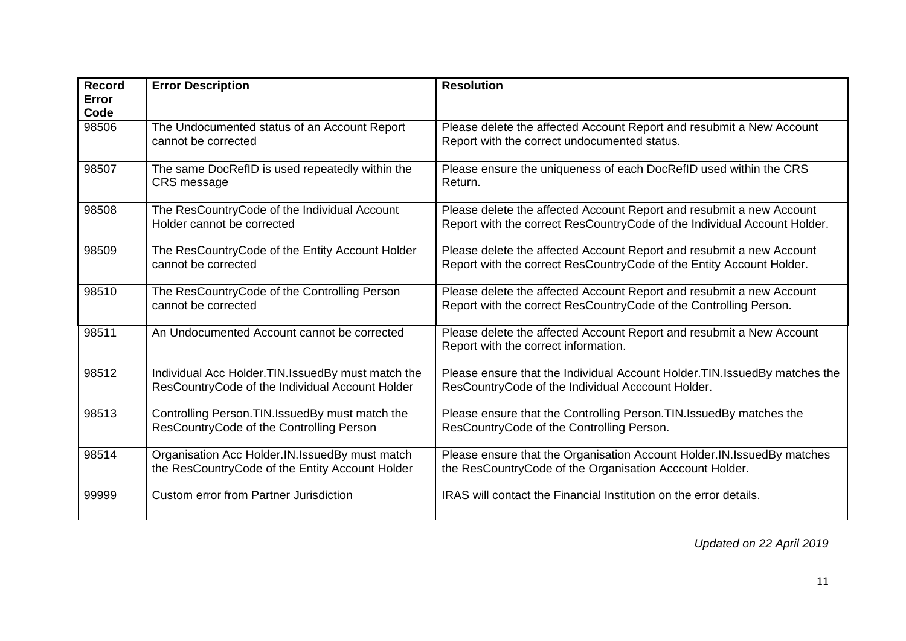| <b>Record</b><br>Error<br>Code | <b>Error Description</b>                                                                               | <b>Resolution</b>                                                                                                                                |
|--------------------------------|--------------------------------------------------------------------------------------------------------|--------------------------------------------------------------------------------------------------------------------------------------------------|
| 98506                          | The Undocumented status of an Account Report<br>cannot be corrected                                    | Please delete the affected Account Report and resubmit a New Account<br>Report with the correct undocumented status.                             |
| 98507                          | The same DocRefID is used repeatedly within the<br>CRS message                                         | Please ensure the uniqueness of each DocRefID used within the CRS<br>Return.                                                                     |
| 98508                          | The ResCountryCode of the Individual Account<br>Holder cannot be corrected                             | Please delete the affected Account Report and resubmit a new Account<br>Report with the correct ResCountryCode of the Individual Account Holder. |
| 98509                          | The ResCountryCode of the Entity Account Holder<br>cannot be corrected                                 | Please delete the affected Account Report and resubmit a new Account<br>Report with the correct ResCountryCode of the Entity Account Holder.     |
| 98510                          | The ResCountryCode of the Controlling Person<br>cannot be corrected                                    | Please delete the affected Account Report and resubmit a new Account<br>Report with the correct ResCountryCode of the Controlling Person.        |
| 98511                          | An Undocumented Account cannot be corrected                                                            | Please delete the affected Account Report and resubmit a New Account<br>Report with the correct information.                                     |
| 98512                          | Individual Acc Holder. TIN. IssuedBy must match the<br>ResCountryCode of the Individual Account Holder | Please ensure that the Individual Account Holder. TIN. Issued By matches the<br>ResCountryCode of the Individual Acccount Holder.                |
| 98513                          | Controlling Person. TIN. Issued By must match the<br>ResCountryCode of the Controlling Person          | Please ensure that the Controlling Person. TIN. IssuedBy matches the<br>ResCountryCode of the Controlling Person.                                |
| 98514                          | Organisation Acc Holder.IN.IssuedBy must match<br>the ResCountryCode of the Entity Account Holder      | Please ensure that the Organisation Account Holder. IN. IssuedBy matches<br>the ResCountryCode of the Organisation Acccount Holder.              |
| 99999                          | <b>Custom error from Partner Jurisdiction</b>                                                          | IRAS will contact the Financial Institution on the error details.                                                                                |

*Updated on 22 April 2019*